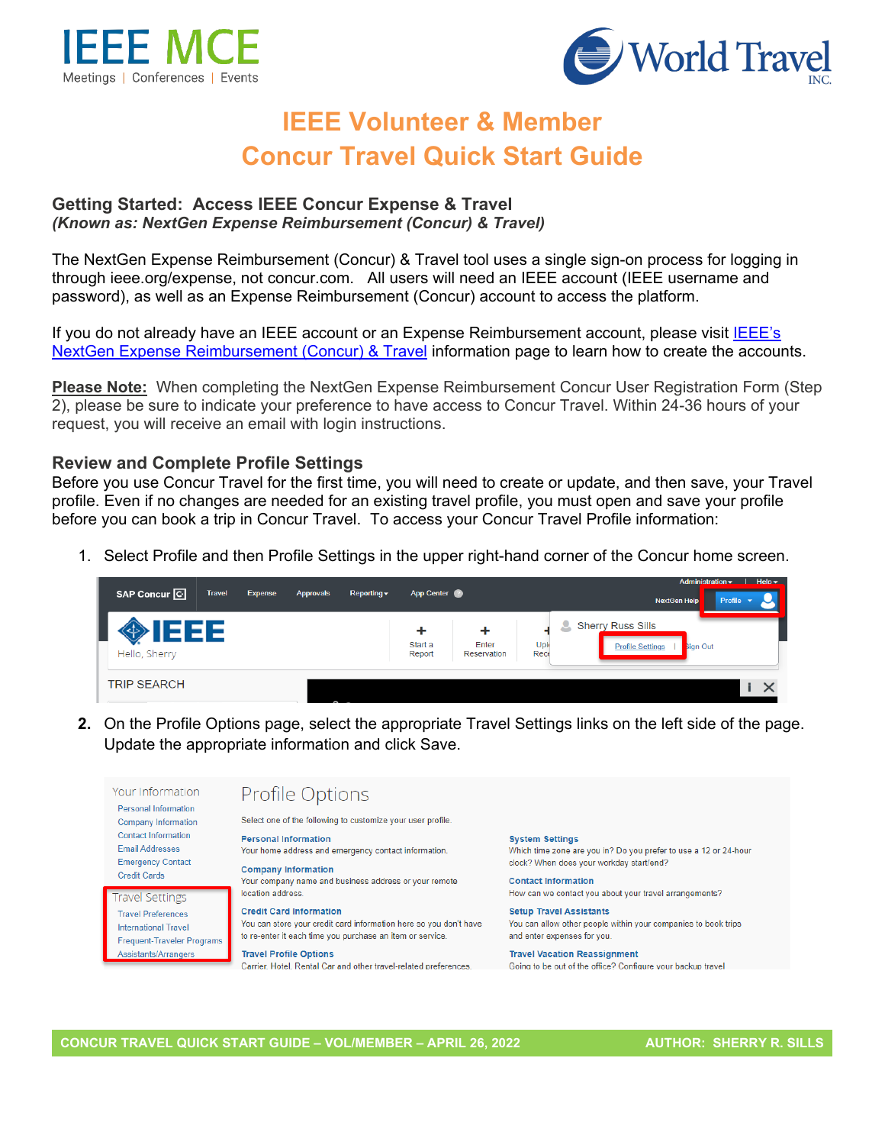



# **IEEE Volunteer & Member Concur Travel Quick Start Guide**

#### **Getting Started: Access IEEE Concur Expense & Travel**  *(Known as: NextGen Expense Reimbursement (Concur) & Travel)*

The NextGen Expense Reimbursement (Concur) & Travel tool uses a single sign-on process for logging in through ieee.org/expense, not concur.com. All users will need an IEEE account (IEEE username and password), as well as an Expense Reimbursement (Concur) account to access the platform.

If you do not already have an IEEE account or an Expense Reimbursement account, please visit IEEE's [NextGen Expense Reimbursement \(Concur\) & Travel](http://www.ieee.org/expense) information page to learn how to create the accounts.

**Please Note:** When completing the NextGen Expense Reimbursement Concur User Registration Form (Step 2), please be sure to indicate your preference to have access to Concur Travel. Within 24-36 hours of your request, you will receive an email with login instructions.

#### **Review and Complete Profile Settings**

Before you use Concur Travel for the first time, you will need to create or update, and then save, your Travel profile. Even if no changes are needed for an existing travel profile, you must open and save your profile before you can book a trip in Concur Travel. To access your Concur Travel Profile information:

1. Select Profile and then Profile Settings in the upper right-hand corner of the Concur home screen.



**2.** On the Profile Options page, select the appropriate Travel Settings links on the left side of the page. Update the appropriate information and click Save.

Your Information Profile Options Personal Information Select one of the following to customize your user profile **Company Information Contact Information Personal Information System Settings Email Addresses** Which time zone are you in? Do you prefer to use a 12 or 24-hour Your home address and emergency contact information. **Emergency Contact** clock? When does your workday start/end? **Company Information Credit Cards** Your company name and business address or your remote **Contact Information** location address. How can we contact you about your travel arrangements? **Travel Settings Credit Card Information Setup Travel Assistants Travel Preferences** You can store your credit card information here so you don't have You can allow other people within your companies to book trips **International Travel** to re-enter it each time you purchase an item or service. and enter expenses for you. **Frequent-Traveler Programs Travel Vacation Reassignment** Assistants/Arrangers **Travel Profile Options** Carrier, Hotel, Rental Car and other travel-related preferences. Going to be out of the office? Configure your backup travel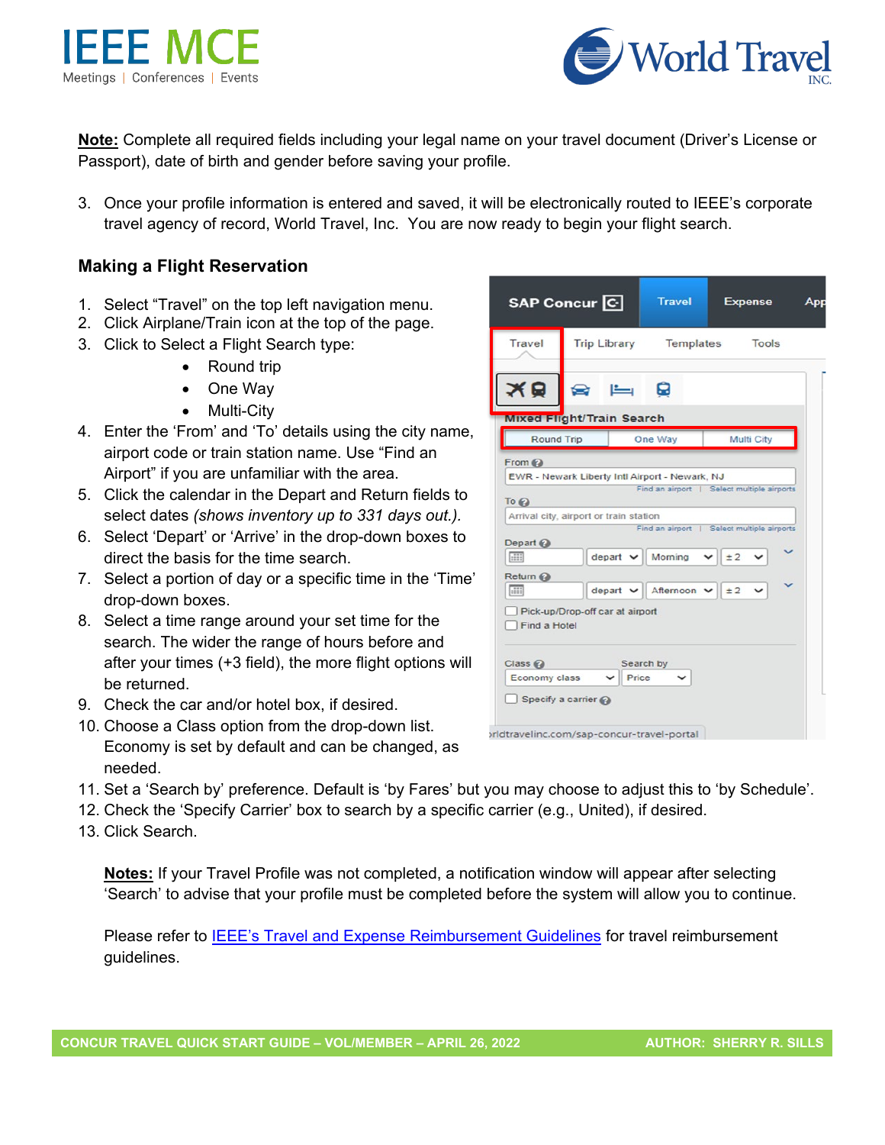



**Note:** Complete all required fields including your legal name on your travel document (Driver's License or Passport), date of birth and gender before saving your profile.

3. Once your profile information is entered and saved, it will be electronically routed to IEEE's corporate travel agency of record, World Travel, Inc. You are now ready to begin your flight search.

## **Making a Flight Reservation**

- 1. Select "Travel" on the top left navigation menu.
- 2. Click Airplane/Train icon at the top of the page.
- 3. Click to Select a Flight Search type:
	- Round trip
	- One Way
	- Multi-City
- 4. Enter the 'From' and 'To' details using the city name, airport code or train station name. Use "Find an Airport" if you are unfamiliar with the area.
- 5. Click the calendar in the Depart and Return fields to select dates *(shows inventory up to 331 days out.).*
- 6. Select 'Depart' or 'Arrive' in the drop-down boxes to direct the basis for the time search.
- 7. Select a portion of day or a specific time in the 'Time' drop-down boxes.
- 8. Select a time range around your set time for the search. The wider the range of hours before and after your times (+3 field), the more flight options will be returned.
- 9. Check the car and/or hotel box, if desired.
- 10. Choose a Class option from the drop-down list. Economy is set by default and can be changed, as needed.
- 11. Set a 'Search by' preference. Default is 'by Fares' but you may choose to adjust this to 'by Schedule'.
- 12. Check the 'Specify Carrier' box to search by a specific carrier (e.g., United), if desired.
- 13. Click Search.

**Notes:** If your Travel Profile was not completed, a notification window will appear after selecting 'Search' to advise that your profile must be completed before the system will allow you to continue.

Please refer to **IEEE's [Travel and Expense Reimbursement Guidelines](https://www.ieee.org/content/dam/ieee-org/ieee/web/org/travel-expense-reimbursement-guidelines.pdf)** for travel reimbursement guidelines.

| vel Profile was not completed, a notification window will appear<br>that your profile must be completed before the system will alloy |
|--------------------------------------------------------------------------------------------------------------------------------------|
| EE's Travel and Expense Reimbursement Guidelines for travel i                                                                        |

|                                   | SAP Concur <sup>C</sup>          | <b>Travel</b>            | <b>Expense</b>                             | App |
|-----------------------------------|----------------------------------|--------------------------|--------------------------------------------|-----|
| Travel                            | <b>Trip Library</b>              | <b>Templates</b>         | <b>Tools</b>                               |     |
|                                   |                                  | 9                        |                                            |     |
|                                   | <b>Mixed Flight/Train Search</b> |                          |                                            |     |
| Round Trip                        |                                  | One Way                  | Multi City                                 |     |
| Depart @<br>$-111$                | $depart$ $\vee$                  | Morning                  | Find an airport   Select multiple airports |     |
|                                   |                                  |                          |                                            |     |
|                                   |                                  |                          | $\times$   $\pm$ 2                         |     |
| Return @                          |                                  |                          |                                            |     |
| <b>Hill</b>                       | $depart$ $\vee$                  | Afternoon $\vee$ $\pm$ 2 |                                            |     |
| Find a Hotel                      | Pick-up/Drop-off car at airport  |                          |                                            |     |
| $Class Q$<br><b>Economy class</b> | $\check{ }$                      | Search by<br>Price       |                                            |     |

vrldtravelinc.com/sap-concur-travel-portal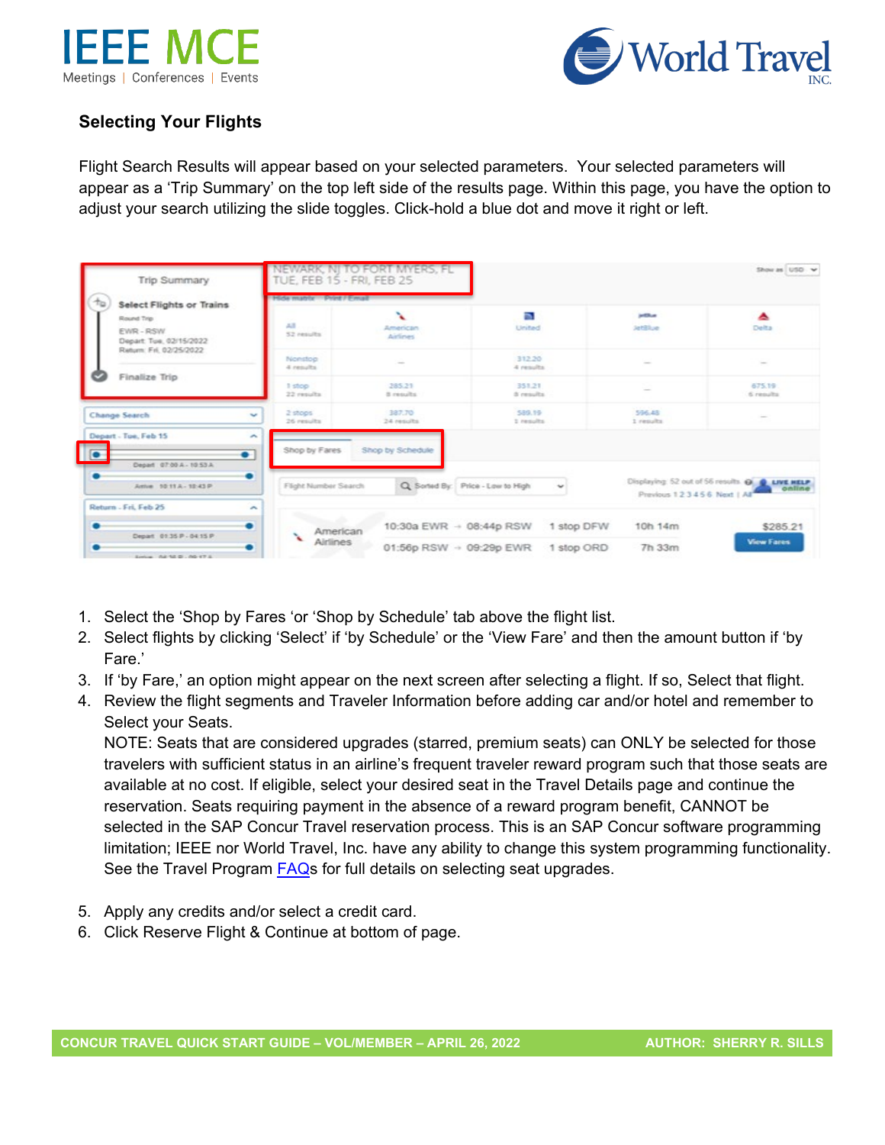



# **Selecting Your Flights**

Flight Search Results will appear based on your selected parameters. Your selected parameters will appear as a 'Trip Summary' on the top left side of the results page. Within this page, you have the option to adjust your search utilizing the slide toggles. Click-hold a blue dot and move it right or left.

| <b>Trip Summary</b>                              |                                | NEWARK, NJ TO FORT MYERS, FL<br>TUE, FEB 15 - FRI, FEB 25<br>Hide matrix Print / Email |                        | Show as USD V              |                                                                                                |  |
|--------------------------------------------------|--------------------------------|----------------------------------------------------------------------------------------|------------------------|----------------------------|------------------------------------------------------------------------------------------------|--|
| Ťo<br><b>Select Flights or Trains</b>            |                                |                                                                                        |                        |                            |                                                                                                |  |
| Round Trip<br>EWR-RSW<br>Depart: Tue, 02/15/2022 | AB<br>52 results               | x<br>American<br>Airlines                                                              | n.<br>United           | antikus.<br><b>JetSlue</b> | ᅀ<br>Delta                                                                                     |  |
| Return: Fri. 02/25/2022<br>Finalize Trip         | Nonston<br>4 nesults           | $\sim$                                                                                 | 312.20<br>4 results    | $\sim$                     | $\frac{1}{2} \left( \frac{1}{2} \right) \left( \frac{1}{2} \right) \left( \frac{1}{2} \right)$ |  |
|                                                  | I stop<br>22 results           | 285.21<br>8 mouths                                                                     | 351.21<br>di cessulta. | $\sim$                     | 675.19<br>6 results                                                                            |  |
| Change Search                                    | 2 stops<br>v<br>26 results     | 387.70<br>24 results                                                                   | 589.19<br>1 results    | 596.48<br>1 riesults       |                                                                                                |  |
| Depart - Tue, Feb 15                             | ÷<br>Shop by Fares             | Shop by Schedule                                                                       |                        |                            |                                                                                                |  |
| $\sqrt{2}$<br>Depart 07:00 A - 10:53 A           | $\bullet$                      |                                                                                        |                        |                            |                                                                                                |  |
| ٠<br>Arrive 10:11 A - 12:43 P                    | ۰<br>Flight Number Search      | Q. Sorted By: Price - Low to High                                                      | $\checkmark$           | Previous 123456 Next   All | Displaying: 52 out of 56 results. @ @ LIVE HELP<br>online                                      |  |
| Return - Fri, Feb 25                             | ÷                              |                                                                                        |                        |                            |                                                                                                |  |
| Depart 01:35 P - 04:15 P                         | ۰<br>American<br>$\mathcal{L}$ | 10:30a EWR - 08:44p RSW                                                                | 1 stop DFW             | 10h 14m                    | \$285.21                                                                                       |  |
| Serious 0.8 52 D - 00 17 S                       | Airlines                       | 01:56p RSW $\rightarrow$ 09:29p EWR                                                    | 1 stop ORD             | 7h 33m                     | <b>View Fares</b>                                                                              |  |

- 1. Select the 'Shop by Fares 'or 'Shop by Schedule' tab above the flight list.
- 2. Select flights by clicking 'Select' if 'by Schedule' or the 'View Fare' and then the amount button if 'by Fare.'
- 3. If 'by Fare,' an option might appear on the next screen after selecting a flight. If so, Select that flight.
- 4. Review the flight segments and Traveler Information before adding car and/or hotel and remember to Select your Seats.

NOTE: Seats that are considered upgrades (starred, premium seats) can ONLY be selected for those travelers with sufficient status in an airline's frequent traveler reward program such that those seats are available at no cost. If eligible, select your desired seat in the Travel Details page and continue the reservation. Seats requiring payment in the absence of a reward program benefit, CANNOT be selected in the SAP Concur Travel reservation process. This is an SAP Concur software programming limitation; IEEE nor World Travel, Inc. have any ability to change this system programming functionality. See the Travel Program [FAQs](https://ieeemce.org/wp-content/uploads/concur-travel-faqs.pdf) for full details on selecting seat upgrades.

- 5. Apply any credits and/or select a credit card.
- 6. Click Reserve Flight & Continue at bottom of page.